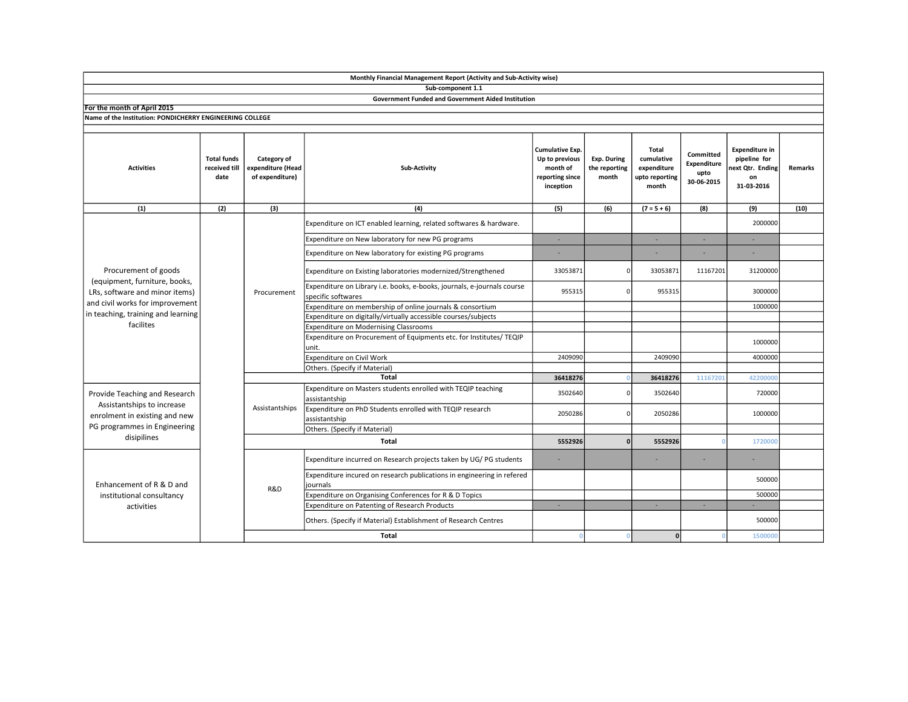|                                                                                                                                                                               |                                             |                                                     | Monthly Financial Management Report (Activity and Sub-Activity wise)                          |                                                                                      |                                              |                                                               |                                                |                                                                               |                |
|-------------------------------------------------------------------------------------------------------------------------------------------------------------------------------|---------------------------------------------|-----------------------------------------------------|-----------------------------------------------------------------------------------------------|--------------------------------------------------------------------------------------|----------------------------------------------|---------------------------------------------------------------|------------------------------------------------|-------------------------------------------------------------------------------|----------------|
|                                                                                                                                                                               |                                             |                                                     | Sub-component 1.1                                                                             |                                                                                      |                                              |                                                               |                                                |                                                                               |                |
|                                                                                                                                                                               |                                             |                                                     | <b>Government Funded and Government Aided Institution</b>                                     |                                                                                      |                                              |                                                               |                                                |                                                                               |                |
| For the month of April 2015                                                                                                                                                   |                                             |                                                     |                                                                                               |                                                                                      |                                              |                                                               |                                                |                                                                               |                |
| Name of the Institution: PONDICHERRY ENGINEERING COLLEGE                                                                                                                      |                                             |                                                     |                                                                                               |                                                                                      |                                              |                                                               |                                                |                                                                               |                |
| <b>Activities</b>                                                                                                                                                             | <b>Total funds</b><br>received till<br>date | Category of<br>expenditure (Head<br>of expenditure) | <b>Sub-Activity</b>                                                                           | <b>Cumulative Exp.</b><br>Up to previous<br>month of<br>reporting since<br>inception | <b>Exp. During</b><br>the reporting<br>month | Total<br>cumulative<br>expenditure<br>upto reporting<br>month | Committed<br>Expenditure<br>upto<br>30-06-2015 | <b>Expenditure in</b><br>pipeline for<br>next Qtr. Ending<br>on<br>31-03-2016 | <b>Remarks</b> |
| (1)                                                                                                                                                                           | (2)                                         | (3)                                                 | (4)                                                                                           | (5)                                                                                  | (6)                                          | $(7 = 5 + 6)$                                                 | (8)                                            | (9)                                                                           | (10)           |
| Procurement of goods<br>(equipment, furniture, books,<br>LRs, software and minor items)<br>and civil works for improvement<br>in teaching, training and learning<br>facilites |                                             | Procurement                                         | Expenditure on ICT enabled learning, related softwares & hardware.                            |                                                                                      |                                              |                                                               |                                                | 2000000                                                                       |                |
|                                                                                                                                                                               |                                             |                                                     | Expenditure on New laboratory for new PG programs                                             | ×                                                                                    |                                              | ×.                                                            | ÷.                                             | ÷.                                                                            |                |
|                                                                                                                                                                               |                                             |                                                     | Expenditure on New laboratory for existing PG programs                                        |                                                                                      |                                              |                                                               |                                                |                                                                               |                |
|                                                                                                                                                                               |                                             |                                                     | Expenditure on Existing laboratories modernized/Strengthened                                  | 33053871                                                                             |                                              | 33053871                                                      | 11167201                                       | 31200000                                                                      |                |
|                                                                                                                                                                               |                                             |                                                     | Expenditure on Library i.e. books, e-books, journals, e-journals course<br>specific softwares | 955315                                                                               | O                                            | 955315                                                        |                                                | 3000000                                                                       |                |
|                                                                                                                                                                               |                                             |                                                     | Expenditure on membership of online journals & consortium                                     |                                                                                      |                                              |                                                               |                                                | 1000000                                                                       |                |
|                                                                                                                                                                               |                                             |                                                     | Expenditure on digitally/virtually accessible courses/subjects                                |                                                                                      |                                              |                                                               |                                                |                                                                               |                |
|                                                                                                                                                                               |                                             |                                                     | <b>Expenditure on Modernising Classrooms</b>                                                  |                                                                                      |                                              |                                                               |                                                |                                                                               |                |
|                                                                                                                                                                               |                                             |                                                     | Expenditure on Procurement of Equipments etc. for Institutes/ TEQIP<br>unit.                  |                                                                                      |                                              |                                                               |                                                | 1000000                                                                       |                |
|                                                                                                                                                                               |                                             |                                                     | Expenditure on Civil Work                                                                     | 2409090                                                                              |                                              | 2409090                                                       |                                                | 4000000                                                                       |                |
|                                                                                                                                                                               |                                             |                                                     | Others. (Specify if Material)                                                                 |                                                                                      |                                              |                                                               |                                                |                                                                               |                |
|                                                                                                                                                                               |                                             |                                                     | 36418276                                                                                      |                                                                                      | 36418276                                     | 11167201                                                      | 4220000                                        |                                                                               |                |
| Provide Teaching and Research<br>Assistantships to increase<br>enrolment in existing and new<br>PG programmes in Engineering<br>disipilines                                   |                                             | Assistantships                                      | Expenditure on Masters students enrolled with TEQIP teaching<br>assistantship                 | 3502640                                                                              |                                              | 3502640                                                       |                                                | 720000                                                                        |                |
|                                                                                                                                                                               |                                             |                                                     | Expenditure on PhD Students enrolled with TEQIP research<br>assistantship                     | 2050286                                                                              |                                              | 2050286                                                       |                                                | 1000000                                                                       |                |
|                                                                                                                                                                               |                                             |                                                     | Others. (Specify if Material)                                                                 |                                                                                      |                                              |                                                               |                                                |                                                                               |                |
|                                                                                                                                                                               |                                             |                                                     | 5552926                                                                                       | n                                                                                    | 5552926                                      |                                                               | 1720000                                        |                                                                               |                |
| Enhancement of R & D and<br>institutional consultancy<br>activities                                                                                                           |                                             | R&D                                                 | Expenditure incurred on Research projects taken by UG/PG students                             |                                                                                      |                                              |                                                               |                                                |                                                                               |                |
|                                                                                                                                                                               |                                             |                                                     | Expenditure incured on research publications in engineering in refered<br>journals            |                                                                                      |                                              |                                                               |                                                | 500000                                                                        |                |
|                                                                                                                                                                               |                                             |                                                     | Expenditure on Organising Conferences for R & D Topics                                        |                                                                                      |                                              |                                                               |                                                | 500000                                                                        |                |
|                                                                                                                                                                               |                                             |                                                     | Expenditure on Patenting of Research Products                                                 | ×.                                                                                   |                                              | $\sim$                                                        | ×.                                             |                                                                               |                |
|                                                                                                                                                                               |                                             |                                                     | Others. (Specify if Material) Establishment of Research Centres                               |                                                                                      |                                              |                                                               |                                                | 500000                                                                        |                |
|                                                                                                                                                                               |                                             |                                                     | <b>Total</b>                                                                                  | $\Omega$                                                                             |                                              | 0                                                             |                                                | 1500000                                                                       |                |